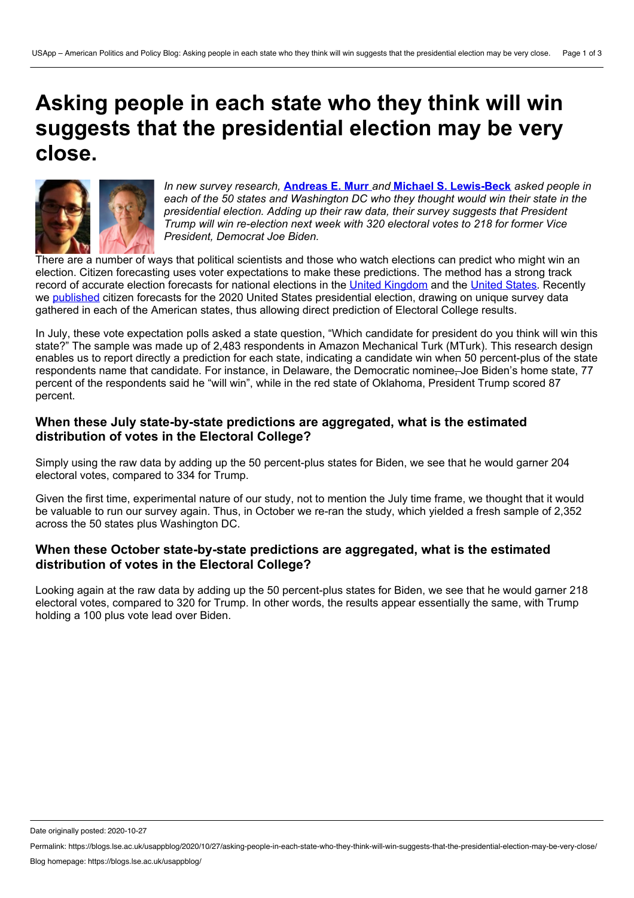# **Asking people in each state who they think will win suggests that the presidential election may be very close.**



*In new survey research,* **[Andreas](https://wp.me/p3I2YF-arF#Author) E. Murr** *and* **Michael S. [Lewis-Beck](https://wp.me/p3I2YF-arF#Author)** *asked people in each of the 50 states and Washington DC who they thought would win their state in the presidential election. Adding up their raw data, their survey suggests that President Trump will win re-election next week with 320 electoral votes to 218 for former Vice President, Democrat Joe Biden.*

There are a number of ways that political scientists and those who watch elections can predict who might win an election. Citizen forecasting uses voter expectations to make these predictions. The method has a strong track record of accurate election forecasts for national elections in the United [Kingdom](https://www.sciencedirect.com/science/article/abs/pii/S0261379415002255) and the [United](https://www.sciencedirect.com/science/article/abs/pii/S0169207098000636) States. Recently we [published](https://www.cambridge.org/core/journals/ps-political-science-and-politics/article/citizen-forecasting-2020-a-statebystate-experiment/9C83F65F97EDCEB9950339C3D6C56B5B) citizen forecasts for the 2020 United States presidential election, drawing on unique survey data gathered in each of the American states, thus allowing direct prediction of Electoral College results.

In July, these vote expectation polls asked a state question, "Which candidate for president do you think will win this state?" The sample was made up of 2,483 respondents in Amazon Mechanical Turk (MTurk). This research design enables us to report directly a prediction for each state, indicating a candidate win when 50 percent-plus of the state respondents name that candidate. For instance, in Delaware, the Democratic nominee, Joe Biden's home state, 77 percent of the respondents said he "will win", while in the red state of Oklahoma, President Trump scored 87 percent.

# **When these July state-by-state predictions are aggregated, what is the estimated distribution of votes in the Electoral College?**

Simply using the raw data by adding up the 50 percent-plus states for Biden, we see that he would garner 204 electoral votes, compared to 334 for Trump.

Given the first time, experimental nature of our study, not to mention the July time frame, we thought that it would be valuable to run our survey again. Thus, in October we re-ran the study, which yielded a fresh sample of 2,352 across the 50 states plus Washington DC.

# **When these October state-by-state predictions are aggregated, what is the estimated distribution of votes in the Electoral College?**

Looking again at the raw data by adding up the 50 percent-plus states for Biden, we see that he would garner 218 electoral votes, compared to 320 for Trump. In other words, the results appear essentially the same, with Trump holding a 100 plus vote lead over Biden.

Date originally posted: 2020-10-27

Permalink: https://blogs.lse.ac.uk/usappblog/2020/10/27/asking-people-in-each-state-who-they-think-will-win-suggests-that-the-presidential-election-may-be-very-close/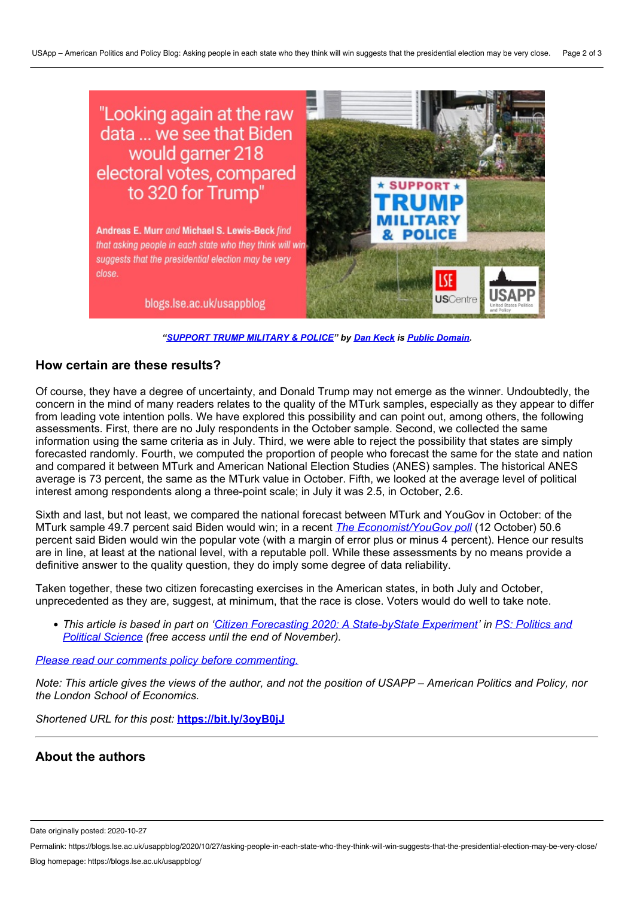

*["SUPPORT](https://www.flickr.com/photos/140641142@N05/50372695127/) TRUMP MILITARY & POLICE" by Dan [Keck](https://www.flickr.com/photos/140641142@N05/) is Public [Domain.](https://creativecommons.org/publicdomain/zero/1.0/)*

### **How certain are these results?**

Of course, they have a degree of uncertainty, and Donald Trump may not emerge as the winner. Undoubtedly, the concern in the mind of many readers relates to the quality of the MTurk samples, especially as they appear to differ from leading vote intention polls. We have explored this possibility and can point out, among others, the following assessments. First, there are no July respondents in the October sample. Second, we collected the same information using the same criteria as in July. Third, we were able to reject the possibility that states are simply forecasted randomly. Fourth, we computed the proportion of people who forecast the same for the state and nation and compared it between MTurk and American National Election Studies (ANES) samples. The historical ANES average is 73 percent, the same as the MTurk value in October. Fifth, we looked at the average level of political interest among respondents along a three-point scale; in July it was 2.5, in October, 2.6.

Sixth and last, but not least, we compared the national forecast between MTurk and YouGov in October: of the MTurk sample 49.7 percent said Biden would win; in a recent *The [Economist/YouGov](https://docs.cdn.yougov.com/wpiyp40uj2/econToplines.pdf) poll* (12 October) 50.6 percent said Biden would win the popular vote (with a margin of error plus or minus 4 percent). Hence our results are in line, at least at the national level, with a reputable poll. While these assessments by no means provide a definitive answer to the quality question, they do imply some degree of data reliability.

Taken together, these two citizen forecasting exercises in the American states, in both July and October, unprecedented as they are, suggest, at minimum, that the race is close. Voters would do well to take note.

• This article is based in part on 'Citizen Forecasting 2020: A State-by State Experiment' in PS: Politics and *Political Science (free access until the end of November).*

*Please read our comments policy before [commenting.](https://blogs.lse.ac.uk/usappblog/comments-policy/)*

Note: This article gives the views of the author, and not the position of USAPP – American Politics and Policy, nor *the London School of Economics.*

*Shortened URL for this post:* **<https://bit.ly/3oyB0jJ>**

## **About the authors**

Date originally posted: 2020-10-27

Permalink: https://blogs.lse.ac.uk/usappblog/2020/10/27/asking-people-in-each-state-who-they-think-will-win-suggests-that-the-presidential-election-may-be-very-close/